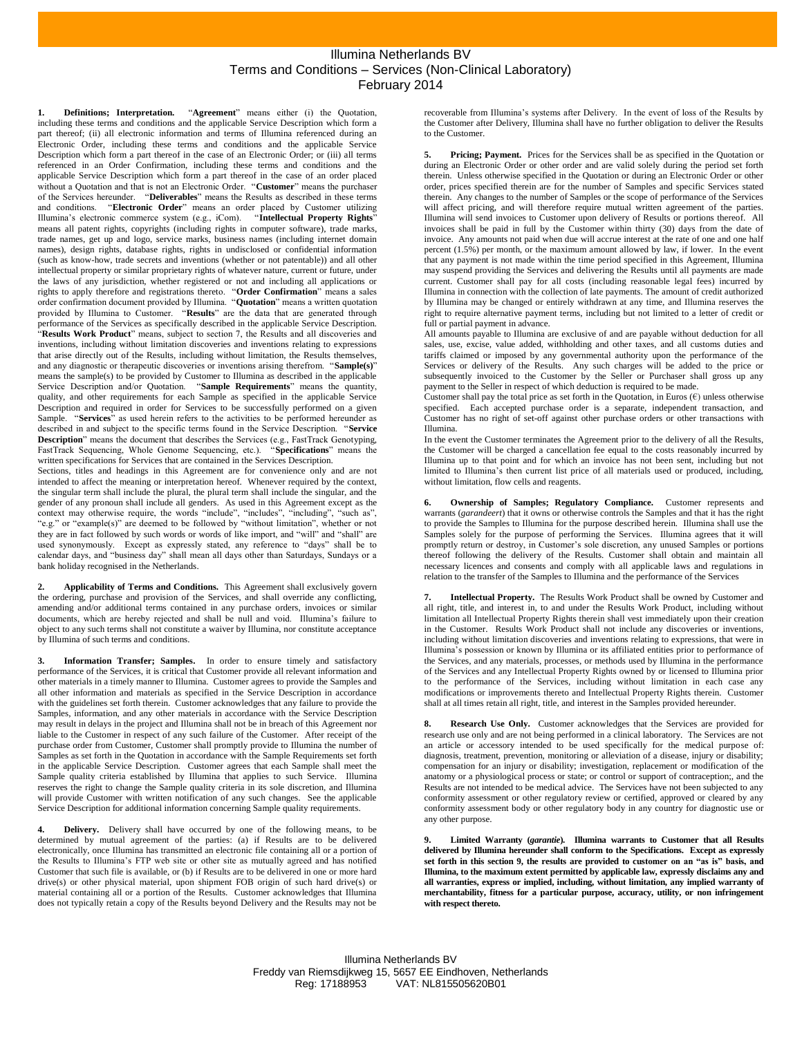## Illumina Netherlands BV Terms and Conditions – Services (Non-Clinical Laboratory) February 2014

**1. Definitions; Interpretation.** "**Agreement**" means either (i) the Quotation, including these terms and conditions and the applicable Service Description which form a part thereof; (ii) all electronic information and terms of Illumina referenced during an Electronic Order, including these terms and conditions and the applicable Service Description which form a part thereof in the case of an Electronic Order; or (iii) all terms referenced in an Order Confirmation, including these terms and conditions and the applicable Service Description which form a part thereof in the case of an order placed without a Quotation and that is not an Electronic Order. "**Customer**" means the purchaser of the Services hereunder. "**Deliverables**" means the Results as described in these terms and conditions. "**Electronic Order**" means an order placed by Customer utilizing Illumina's electronic commerce system (e.g., iCom). "**Intellectual Property Rights**" means all patent rights, copyrights (including rights in computer software), trade marks, trade names, get up and logo, service marks, business names (including internet domain names), design rights, database rights, rights in undisclosed or confidential information (such as know-how, trade secrets and inventions (whether or not patentable)) and all other intellectual property or similar proprietary rights of whatever nature, current or future, under the laws of any jurisdiction, whether registered or not and including all applications or rights to apply therefore and registrations thereto. "**Order Confirmation**" means a sales order confirmation document provided by Illumina. "**Quotation**" means a written quotation provided by Illumina to Customer. "**Results**" are the data that are generated through performance of the Services as specifically described in the applicable Service Description. "**Results Work Product**" means, subject to section 7, the Results and all discoveries and inventions, including without limitation discoveries and inventions relating to expressions that arise directly out of the Results, including without limitation, the Results themselves, and any diagnostic or therapeutic discoveries or inventions arising therefrom. "**Sample(s)**" means the sample(s) to be provided by Customer to Illumina as described in the applicable Service Description and/or Quotation. "**Sample Requirements**" means the quantity, quality, and other requirements for each Sample as specified in the applicable Service Description and required in order for Services to be successfully performed on a given Sample. "Services" as used herein refers to the activities to be performed hereunder as described in and subject to the specific terms found in the Service Description. "**Service Description**" means the document that describes the Services (e.g., FastTrack Genotyping, FastTrack Sequencing, Whole Genome Sequencing, etc.). "**Specifications**" means the written specifications for Services that are contained in the Services Description.

Sections, titles and headings in this Agreement are for convenience only and are not intended to affect the meaning or interpretation hereof. Whenever required by the context, the singular term shall include the plural, the plural term shall include the singular, and the gender of any pronoun shall include all genders. As used in this Agreement except as the context may otherwise require, the words "include", "includes", "including", "such as", "e.g." or "example(s)" are deemed to be followed by "without limitation", whether or not they are in fact followed by such words or words of like import, and "will" and "shall" are used synonymously. Except as expressly stated, any reference to "days" shall be to calendar days, and "business day" shall mean all days other than Saturdays, Sundays or a bank holiday recognised in the Netherlands.

**2. Applicability of Terms and Conditions.** This Agreement shall exclusively govern the ordering, purchase and provision of the Services, and shall override any conflicting, amending and/or additional terms contained in any purchase orders, invoices or similar documents, which are hereby rejected and shall be null and void. Illumina's failure to object to any such terms shall not constitute a waiver by Illumina, nor constitute acceptance by Illumina of such terms and conditions.

**3. Information Transfer; Samples.** In order to ensure timely and satisfactory performance of the Services, it is critical that Customer provide all relevant information and other materials in a timely manner to Illumina. Customer agrees to provide the Samples and all other information and materials as specified in the Service Description in accordance with the guidelines set forth therein. Customer acknowledges that any failure to provide the Samples, information, and any other materials in accordance with the Service Description may result in delays in the project and Illumina shall not be in breach of this Agreement nor liable to the Customer in respect of any such failure of the Customer. After receipt of the purchase order from Customer, Customer shall promptly provide to Illumina the number of Samples as set forth in the Quotation in accordance with the Sample Requirements set forth in the applicable Service Description. Customer agrees that each Sample shall meet the Sample quality criteria established by Illumina that applies to such Service. Illumina reserves the right to change the Sample quality criteria in its sole discretion, and Illumina will provide Customer with written notification of any such changes. See the applicable Service Description for additional information concerning Sample quality requirements.

**4. Delivery.** Delivery shall have occurred by one of the following means, to be determined by mutual agreement of the parties: (a) if Results are to be delivered electronically, once Illumina has transmitted an electronic file containing all or a portion of the Results to Illumina's FTP web site or other site as mutually agreed and has notified Customer that such file is available, or (b) if Results are to be delivered in one or more hard drive(s) or other physical material, upon shipment FOB origin of such hard drive(s) or material containing all or a portion of the Results. Customer acknowledges that Illumina does not typically retain a copy of the Results beyond Delivery and the Results may not be

recoverable from Illumina's systems after Delivery. In the event of loss of the Results by the Customer after Delivery, Illumina shall have no further obligation to deliver the Results to the Customer.

**5. Pricing; Payment.** Prices for the Services shall be as specified in the Quotation or during an Electronic Order or other order and are valid solely during the period set forth therein. Unless otherwise specified in the Quotation or during an Electronic Order or other order, prices specified therein are for the number of Samples and specific Services stated therein. Any changes to the number of Samples or the scope of performance of the Services will affect pricing, and will therefore require mutual written agreement of the parties. Illumina will send invoices to Customer upon delivery of Results or portions thereof. All invoices shall be paid in full by the Customer within thirty (30) days from the date of invoice. Any amounts not paid when due will accrue interest at the rate of one and one half percent (1.5%) per month, or the maximum amount allowed by law, if lower. In the event that any payment is not made within the time period specified in this Agreement, Illumina may suspend providing the Services and delivering the Results until all payments are made current. Customer shall pay for all costs (including reasonable legal fees) incurred by Illumina in connection with the collection of late payments. The amount of credit authorized by Illumina may be changed or entirely withdrawn at any time, and Illumina reserves the right to require alternative payment terms, including but not limited to a letter of credit or full or partial payment in advance.

All amounts payable to Illumina are exclusive of and are payable without deduction for all sales, use, excise, value added, withholding and other taxes, and all customs duties and tariffs claimed or imposed by any governmental authority upon the performance of the Services or delivery of the Results. Any such charges will be added to the price or subsequently invoiced to the Customer by the Seller or Purchaser shall gross up any payment to the Seller in respect of which deduction is required to be made.

Customer shall pay the total price as set forth in the Quotation, in Euros  $(\epsilon)$  unless otherwise specified. Each accepted purchase order is a separate, independent transaction, and Customer has no right of set-off against other purchase orders or other transactions with Illumina.

In the event the Customer terminates the Agreement prior to the delivery of all the Results, the Customer will be charged a cancellation fee equal to the costs reasonably incurred by Illumina up to that point and for which an invoice has not been sent, including but not limited to Illumina's then current list price of all materials used or produced, including, without limitation, flow cells and reagents.

**6. Ownership of Samples; Regulatory Compliance.** Customer represents and warrants (*garandeert*) that it owns or otherwise controls the Samples and that it has the right to provide the Samples to Illumina for the purpose described herein. Illumina shall use the Samples solely for the purpose of performing the Services. Illumina agrees that it will promptly return or destroy, in Customer's sole discretion, any unused Samples or portions thereof following the delivery of the Results. Customer shall obtain and maintain all necessary licences and consents and comply with all applicable laws and regulations in relation to the transfer of the Samples to Illumina and the performance of the Services

**7. Intellectual Property.** The Results Work Product shall be owned by Customer and all right, title, and interest in, to and under the Results Work Product, including without limitation all Intellectual Property Rights therein shall vest immediately upon their creation in the Customer. Results Work Product shall not include any discoveries or inventions, including without limitation discoveries and inventions relating to expressions, that were in Illumina's possession or known by Illumina or its affiliated entities prior to performance of the Services, and any materials, processes, or methods used by Illumina in the performance of the Services and any Intellectual Property Rights owned by or licensed to Illumina prior to the performance of the Services, including without limitation in each case any modifications or improvements thereto and Intellectual Property Rights therein. Customer shall at all times retain all right, title, and interest in the Samples provided hereunder.

**8. Research Use Only.** Customer acknowledges that the Services are provided for research use only and are not being performed in a clinical laboratory. The Services are not an article or accessory intended to be used specifically for the medical purpose of: diagnosis, treatment, prevention, monitoring or alleviation of a disease, injury or disability; compensation for an injury or disability; investigation, replacement or modification of the anatomy or a physiological process or state; or control or support of contraception;, and the Results are not intended to be medical advice. The Services have not been subjected to any conformity assessment or other regulatory review or certified, approved or cleared by any conformity assessment body or other regulatory body in any country for diagnostic use or any other purpose.

<span id="page-0-0"></span>**9. Limited Warranty (***garantie***). Illumina warrants to Customer that all Results delivered by Illumina hereunder shall conform to the Specifications. Except as expressly set forth in this sectio[n 9,](#page-0-0) the results are provided to customer on an "as is" basis, and Illumina, to the maximum extent permitted by applicable law, expressly disclaims any and all warranties, express or implied, including, without limitation, any implied warranty of merchantability, fitness for a particular purpose, accuracy, utility, or non infringement with respect thereto.**